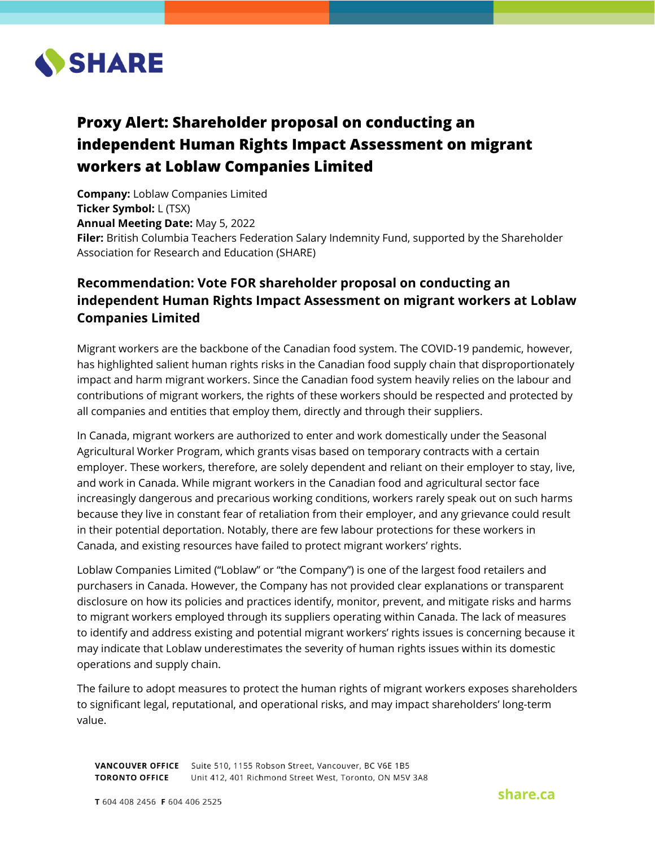

# **Proxy Alert: Shareholder proposal on conducting an independent Human Rights Impact Assessment on migrant workers at Loblaw Companies Limited**

**Company:** Loblaw Companies Limited **Ticker Symbol:** L (TSX) **Annual Meeting Date:** May 5, 2022 **Filer:** British Columbia Teachers Federation Salary Indemnity Fund, supported by the Shareholder Association for Research and Education (SHARE)

# **Recommendation: Vote FOR shareholder proposal on conducting an independent Human Rights Impact Assessment on migrant workers at Loblaw Companies Limited**

Migrant workers are the backbone of the Canadian food system. The COVID-19 pandemic, however, has highlighted salient human rights risks in the Canadian food supply chain that disproportionately impact and harm migrant workers. Since the Canadian food system heavily relies on the labour and contributions of migrant workers, the rights of these workers should be respected and protected by all companies and entities that employ them, directly and through their suppliers.

In Canada, migrant workers are authorized to enter and work domestically under the Seasonal Agricultural Worker Program, which grants visas based on temporary contracts with a certain employer. These workers, therefore, are solely dependent and reliant on their employer to stay, live, and work in Canada. While migrant workers in the Canadian food and agricultural sector face increasingly dangerous and precarious working conditions, workers rarely speak out on such harms because they live in constant fear of retaliation from their employer, and any grievance could result in their potential deportation. Notably, there are few labour protections for these workers in Canada, and existing resources have failed to protect migrant workers' rights.

Loblaw Companies Limited ("Loblaw" or "the Company") is one of the largest food retailers and purchasers in Canada. However, the Company has not provided clear explanations or transparent disclosure on how its policies and practices identify, monitor, prevent, and mitigate risks and harms to migrant workers employed through its suppliers operating within Canada. The lack of measures to identify and address existing and potential migrant workers' rights issues is concerning because it may indicate that Loblaw underestimates the severity of human rights issues within its domestic operations and supply chain.

The failure to adopt measures to protect the human rights of migrant workers exposes shareholders to significant legal, reputational, and operational risks, and may impact shareholders' long-term value.

VANCOUVER OFFICE Suite 510, 1155 Robson Street, Vancouver, BC V6E 1B5 TORONTO OFFICE Unit 412, 401 Richmond Street West, Toronto, ON M5V 3A8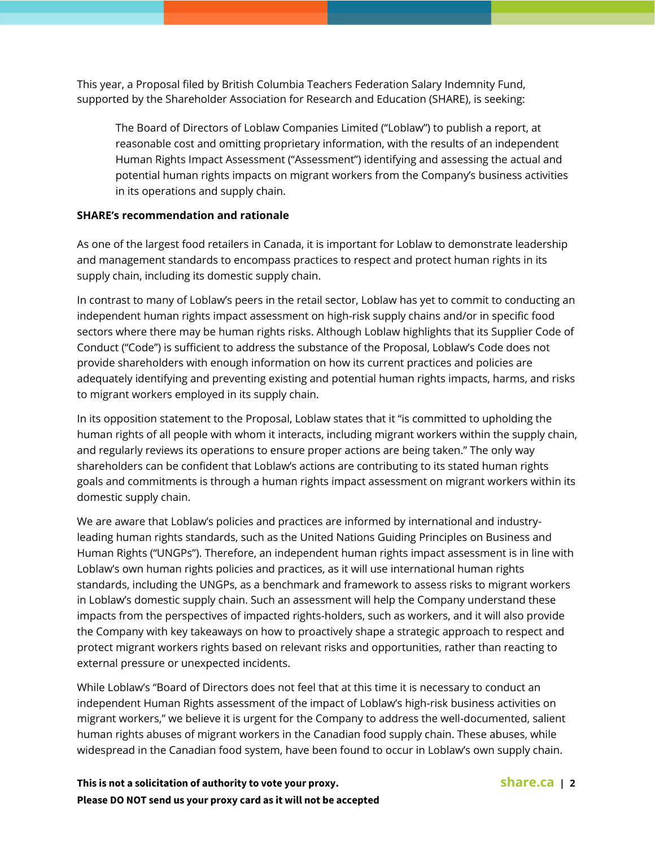This year, a Proposal filed by British Columbia Teachers Federation Salary Indemnity Fund, supported by the Shareholder Association for Research and Education (SHARE), is seeking:

The Board of Directors of Loblaw Companies Limited ("Loblaw") to publish a report, at reasonable cost and omitting proprietary information, with the results of an independent Human Rights Impact Assessment ("Assessment") identifying and assessing the actual and potential human rights impacts on migrant workers from the Company's business activities in its operations and supply chain.

## **SHARE's recommendation and rationale**

As one of the largest food retailers in Canada, it is important for Loblaw to demonstrate leadership and management standards to encompass practices to respect and protect human rights in its supply chain, including its domestic supply chain.

In contrast to many of Loblaw's peers in the retail sector, Loblaw has yet to commit to conducting an independent human rights impact assessment on high-risk supply chains and/or in specific food sectors where there may be human rights risks. Although Loblaw highlights that its Supplier Code of Conduct ("Code") is sufficient to address the substance of the Proposal, Loblaw's Code does not provide shareholders with enough information on how its current practices and policies are adequately identifying and preventing existing and potential human rights impacts, harms, and risks to migrant workers employed in its supply chain.

In its opposition statement to the Proposal, Loblaw states that it "is committed to upholding the human rights of all people with whom it interacts, including migrant workers within the supply chain, and regularly reviews its operations to ensure proper actions are being taken." The only way shareholders can be confident that Loblaw's actions are contributing to its stated human rights goals and commitments is through a human rights impact assessment on migrant workers within its domestic supply chain.

We are aware that Loblaw's policies and practices are informed by international and industryleading human rights standards, such as the United Nations Guiding Principles on Business and Human Rights ("UNGPs"). Therefore, an independent human rights impact assessment is in line with Loblaw's own human rights policies and practices, as it will use international human rights standards, including the UNGPs, as a benchmark and framework to assess risks to migrant workers in Loblaw's domestic supply chain. Such an assessment will help the Company understand these impacts from the perspectives of impacted rights-holders, such as workers, and it will also provide the Company with key takeaways on how to proactively shape a strategic approach to respect and protect migrant workers rights based on relevant risks and opportunities, rather than reacting to external pressure or unexpected incidents.

While Loblaw's "Board of Directors does not feel that at this time it is necessary to conduct an independent Human Rights assessment of the impact of Loblaw's high-risk business activities on migrant workers," we believe it is urgent for the Company to address the well-documented, salient human rights abuses of migrant workers in the Canadian food supply chain. These abuses, while widespread in the Canadian food system, have been found to occur in Loblaw's own supply chain.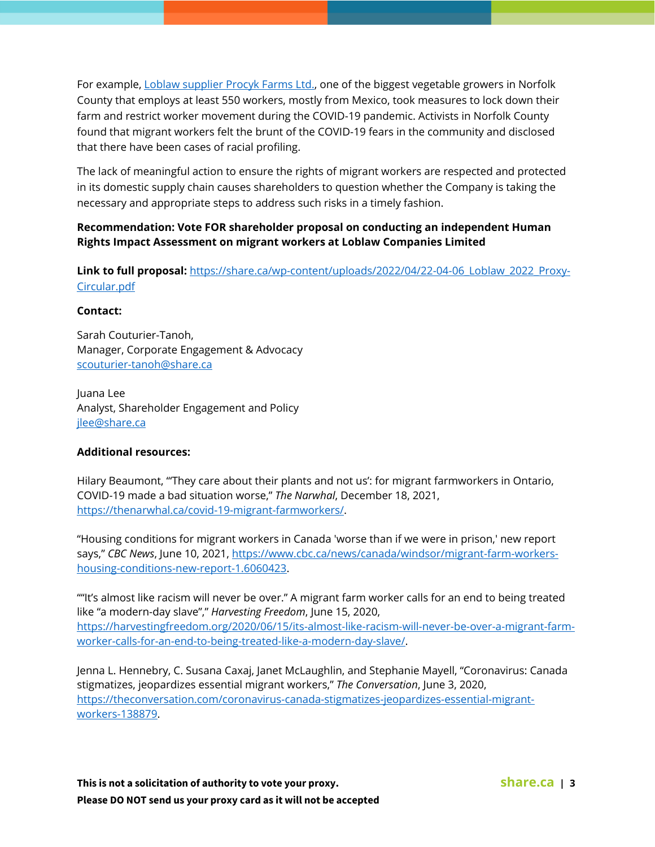For example, [Loblaw supplier Procyk Farms Ltd.,](https://newsinteractives.cbc.ca/longform/bitter-harvest-migrant-workers-pandemic) one of the biggest vegetable growers in Norfolk County that employs at least 550 workers, mostly from Mexico, took measures to lock down their farm and restrict worker movement during the COVID-19 pandemic. Activists in Norfolk County found that migrant workers felt the brunt of the COVID-19 fears in the community and disclosed that there have been cases of racial profiling.

The lack of meaningful action to ensure the rights of migrant workers are respected and protected in its domestic supply chain causes shareholders to question whether the Company is taking the necessary and appropriate steps to address such risks in a timely fashion.

# **Recommendation: Vote FOR shareholder proposal on conducting an independent Human Rights Impact Assessment on migrant workers at Loblaw Companies Limited**

Link to full proposal: https://share.ca/wp-content/uploads/2022/04/22-04-06 Loblaw 2022 Proxy-[Circular.pdf](https://share.ca/wp-content/uploads/2022/04/22-04-06_Loblaw_2022_Proxy-Circular.pdf)

#### **Contact:**

Sarah Couturier-Tanoh, Manager, Corporate Engagement & Advocacy [scouturier-tanoh@share.ca](mailto:scouturier-tanoh@share.ca)

Juana Lee Analyst, Shareholder Engagement and Policy [jlee@share.ca](mailto:jlee@share.ca)

## **Additional resources:**

Hilary Beaumont, "'They care about their plants and not us': for migrant farmworkers in Ontario, COVID-19 made a bad situation worse," *The Narwhal*, December 18, 2021, [https://thenarwhal.ca/covid-19-migrant-farmworkers/.](https://thenarwhal.ca/covid-19-migrant-farmworkers/)

"Housing conditions for migrant workers in Canada 'worse than if we were in prison,' new report says," *CBC News*, June 10, 2021, [https://www.cbc.ca/news/canada/windsor/migrant-farm-workers](https://www.cbc.ca/news/canada/windsor/migrant-farm-workers-housing-conditions-new-report-1.6060423)[housing-conditions-new-report-1.6060423.](https://www.cbc.ca/news/canada/windsor/migrant-farm-workers-housing-conditions-new-report-1.6060423)

""It's almost like racism will never be over." A migrant farm worker calls for an end to being treated like "a modern-day slave"," *Harvesting Freedom*, June 15, 2020, [https://harvestingfreedom.org/2020/06/15/its-almost-like-racism-will-never-be-over-a-migrant-farm](https://harvestingfreedom.org/2020/06/15/its-almost-like-racism-will-never-be-over-a-migrant-farm-worker-calls-for-an-end-to-being-treated-like-a-modern-day-slave/)[worker-calls-for-an-end-to-being-treated-like-a-modern-day-slave/.](https://harvestingfreedom.org/2020/06/15/its-almost-like-racism-will-never-be-over-a-migrant-farm-worker-calls-for-an-end-to-being-treated-like-a-modern-day-slave/)

Jenna L. Hennebry, C. Susana Caxaj, Janet McLaughlin, and Stephanie Mayell, "Coronavirus: Canada stigmatizes, jeopardizes essential migrant workers," *The Conversation*, June 3, 2020, [https://theconversation.com/coronavirus-canada-stigmatizes-jeopardizes-essential-migrant](https://theconversation.com/coronavirus-canada-stigmatizes-jeopardizes-essential-migrant-workers-138879)[workers-138879.](https://theconversation.com/coronavirus-canada-stigmatizes-jeopardizes-essential-migrant-workers-138879)